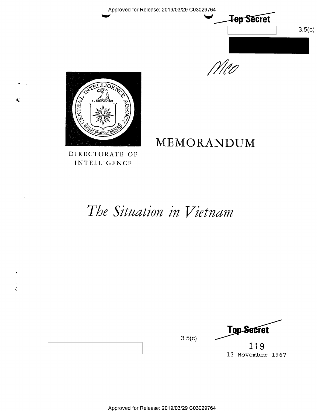Approved for Release: 2019/03/29 C03029764



 $1110$ 



DIRECTORATE OF INTELLIGENCE

# MEMORANDUM

The Situation in Vietnam

**Top Secret**  $3.5(c)$ 

119 13 November 1967



ć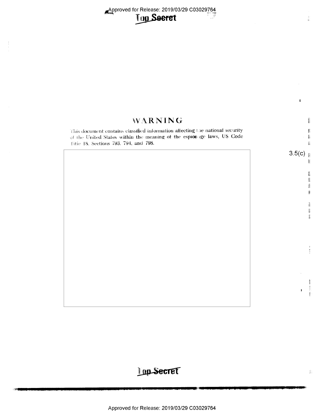Approved for Release: 2019/03/29 C03029764



## WARNING **Barrio** This document contains classified information affecting the national security 歡 of the United States within the meaning of the espionage laws, US Code 載 fitie 18, Sections 793, 794, and 798. 龖  $3.5(c)$ Ť.  $\mathbb{R}$ 鷛 麠  $\frac{1}{16}$ Į 畫 ie<br>D secies ्<br>सम्बद्धाः<br>स

ê,

 $\mathbb{R}$ 

## Lup Secret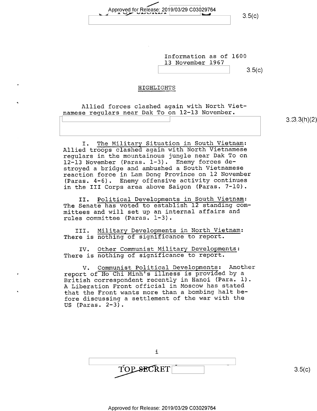Approved for Release: 2019/03/29 C03029764  $\frac{1}{2}$   $\frac{1}{2}$   $\frac{1}{2}$   $\frac{1}{2}$  (c)

Information as of 1600 13 November 1967  $3.5(c)$ 

### HIGHLIGHTS

Allied forces clashed again with North Vietnamese regulars near Dak To on 12-13 November.

I. The Military Situation in South Vietnam: Allied troops clashed again with North Vietnamese regulars in the mountainous jungle near Dak To on 12-13 November (Paras. 1-3). Enemy forces destroyed a bridge and ambushed a South Vietnamese reaction force in Lam Dong Province on 12 November (Paras. 4-6). Enemy offensive activity continues in the III Corps area above Saigon (Paras. 7-10).

II. Political Developments in South Vietnam: The Senate has voted to establish 12 standing committees and will set up an internal affairs and rules committee (Paras. 1-3).

III. Military Developments in North Vietnam: There is nothing of significance to report.

IV. Other Communist Military Developments: There is nothing of significance to report.

V. Communist Political Developments: Another report of Ho Chi Minh's illness is provided by <sup>a</sup> British correspondent recently in Hanoi (Para. 1). A Liberation Front official in Moscow has stated that the Front wants more than a bombing halt before discussing a settlement of the war with the US (Paras. 2-3).



\ s.:sg.3(h)\_(2)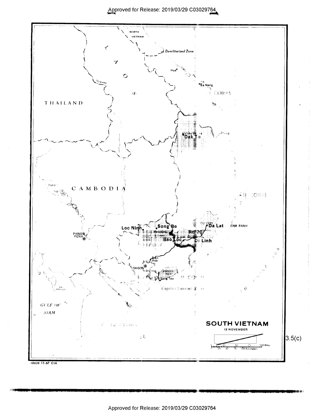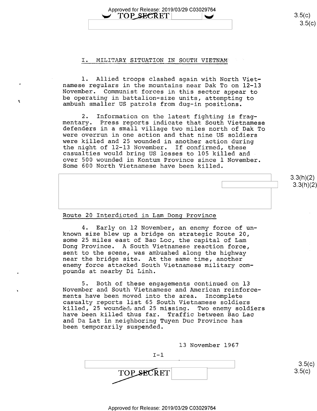Approved for Release: 2019/03/29 C03029764  $\text{TOP}$ ,SE $\text{CRET}$   $\rightarrow$  3.5(c)

#### I. MILITARY SITUATION IN SOUTH VIETNAM"

1. Allied troops clashed again with North Viet-<br>namese regulars in the mountains near Dak To on 12-13 November. Communist forces in this sector appear to be operating in battalion-size units, attempting to ambush smaller US patrols from dug-in positions.

2. Information on the latest fighting is frag-<br>mentary. Press reports indicate that South Vietnamese  $2.$ defenders in a small village two miles north of Dak To were overrun in one action and that nine US soldiers were killed and 25 wounded in another action during<br>the night of 12-13 November. If confirmed, these casualties would bring US losses to 105 killed and<br>over 500 wounded in Kontum Province since 1 November. Some 600 North Vietnamese have been killed.

#### Route 20 lnterdicted in Lam Dong Province

Ä

4. Early on 12 November, an enemy force of unknown size blew up a bridge on strategic Route 20, some 25 miles east of Bao Loc, the capital of Lam Dong Province. A South Vietnamese reaction force,<br>sent to the scene, was ambushed along the highway near the bridge site. At the same time, another enemy force attacked South Vietnamese military compounds at nearby Di Linh.

Both of these engagements continued on 13 November and South Vietnamese and American reinforcements have been moved into the area. Incomplete casualty reports list 65 South Vietnamese soldiers have been killed thus far. Traffic between Bao Lac and Da Lat in neighboring Tuyen Duc Province has been temporarily suspended.

13 November 1967

 $.3(h)(2)$ 

 $3.3(h)(2)$ 

 $3.5(c)$ 

 $I - 1$ A  $3.5(c)$ TOP SECRET  $3.5(c)$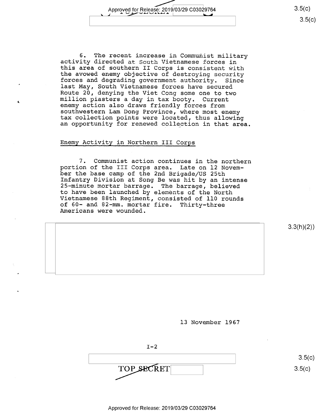Approved for Release: 2019/03/29 C03029764 3-5(6) 3-5(6) 3-5(6) 3-5(6) 3-5(6) 3-5(6) 3-5(6) 3-5(6) 3-5(6) 3-5(6)

6. The recent increase in Communist military<br>activity directed at South Vietnamese forces in<br>this area of southern II Corps is consistent with<br>the avowed enemy objective of destroying security<br>forces and degrading governme

#### Enemy Qctivity in Northern III Corps

7. Communist action continues in the northern<br>portion of the III Corps area. Late on 12 Novem-<br>ber the base camp of the 2nd Brigade/US 25th Infantry Division at Song Be was hit by an intense<br>25-minute mortar barrage. The barrage, believed<br>to have been launched by elements of the North<br>Vietnamese 88th Regiment, consisted of 110 rounds of 60- and 82—mm. mortar fire. Thirty—three Americans were wounded.

 $3.3(h)(2)$ 

 $3.5(c)$ 

 $3.5(c)$ 

l3 November 1967

 $I-2$ TOP SECRET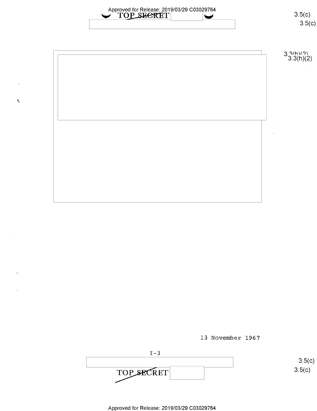Approved for Release: 2019/03/29 C03029764<br>
TOP\_SECRET\ 3.5(c)

 $\hat{\mathbf{r}}$ 



13 November 1967



 $3.5(c)$ 

 $3.5(c)$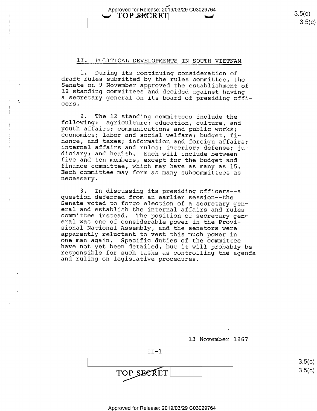Approved for Release: 2019/03/29 C03029764<br> **COP\_SECRET**  $\begin{array}{|c|c|c|c|c|} \hline \text{XOP} & \text{BECRET} \end{array}$  3.5(c) Apploved for Release. 2019/03/29 C03029764<br>
TOP SECRET 3.5(c)

#### II. POLITICAL DEVELOPMENTS IN SOUTH VIETNAM

l. During its continuing consideration of draft rules submitted by the rules committee, the Senate on 9 November approved the establishment of 12 standing committees and decided against having <sup>a</sup>secretary general on its board of presiding offi- cers.

2. The 12 standing committees include the following: agriculture; education, culture, and youth affairs; communications and public works; economics; labor and social welfare; budget, fi-nance, and taxes; information and fo internal affairs and rules; interior; defense; ju-<br>diciary; and health. Each will include between five and ten members, except for the budget and finance committee, which may have as many as 15. Each committee may form as many subcommittees as necessary.

3. In discussing its presiding officers--a<br>question deferred from an earlier session--the<br>Senate voted to forgo election of a secretary gen-<br>eral and establish the internal affairs and rules committee instead. The position of secretary gen-<br>eral was one of considerable power in the Provi-<br>sional National Assembly, and the senators were<br>apparently reluctant to vest this much power in<br>one man again. Specific dut

13 November 1967

II-l  $\overline{)}$  (1)  $\overline{)}$  (1)  $\overline{)}$  (1)  $\overline{)}$  (1)  $\overline{)}$  (1)  $\overline{)}$  (1)  $\overline{)}$  (1)  $\overline{)}$  (1)  $\overline{)}$  (1)  $\overline{)}$  (1)  $\overline{)}$  (1)  $\overline{)}$  (1)  $\overline{)}$  (1)  $\overline{)}$  (1)  $\overline{)}$  (1)  $\overline{)}$  (1)  $\overline{)}$  (1)  $\overline{)}$  (1)  $\overline{$ TOP SECRET

 $3.5(c)$  $3.5(c$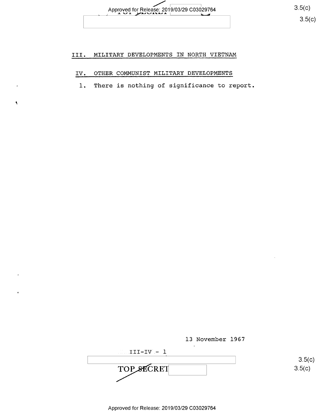

## III. MILITARY DEVELOPMENTS IN NORTH VIETNAM

## IV. OTHER COMMUNIST MILITARY DEVELOPMENTS

 $\hat{\mathbf{A}}$ 

l. There is nothing of significance to report

13 November 1967

 $III-IV - 1$ TOP SECRET 3.5(c)

 $3.5(c)$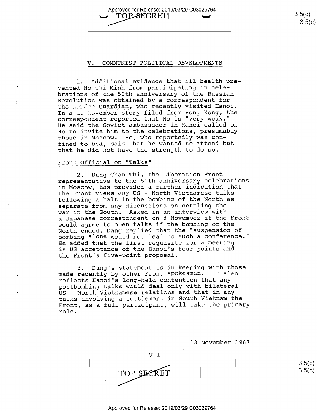Approved for Release: 2019/03/29 C03029764<br>  $\Box$  TOP SECRET

 $3.5(c)$  $3.5(c)$ 

#### V. COMMUNIST POLITICAL DEVELOPMENTS

l. Additional evidence that ill health prevented Ho Chi Minh from participating in celebrations of the 50th anniversary of the Russian Revolution was obtained by a correspondent for the Lomion Guardian, who recently visited Hanoi. In a 12 Hovember story filed from Hong Kong, the correspondent reported that Ho is "very weak." He said the Soviet ambassador in Hanoi called on Ho to invite him to the celebrations, presumably those in Moscow. Ho, who reportedly was confined to bed, said that he wanted to attend but that he did not have the strength to do so.

#### Front Official on "Talks"

À

2. Dang Chan Thi, the Liberation Front representative to the 50th anniversary celebrations in Moscow, has provided a further indication that the Front views any US - North Vietnamese talks following a halt in the bombing of the North as separate from any discussions on settling the war in the South. Asked in an interview with a Japanese correspondent on 8 November if the Front would agree to open talks if the bombing of the North ended, Dang replied that the "suspension of bombing alone would not lead to such a conference." He added that the first requisite for a meeting is US acceptance of the Hanoi's four points and the Front's five-point proposal.

3. Dang's statement is in keeping with those made recently by other Front spokesmen. It also reflects Hanoi's long-held contention that any postbombing talks would deal only with bilateral US — North Vietnamese relations and that in any talks involving a settlement in South Vietnam the Front, as a full participant, will take the primary role.

l3 November 1967

 $V-1$ TOP SECRET

 $3.5(c)$  $3.5 (c)$